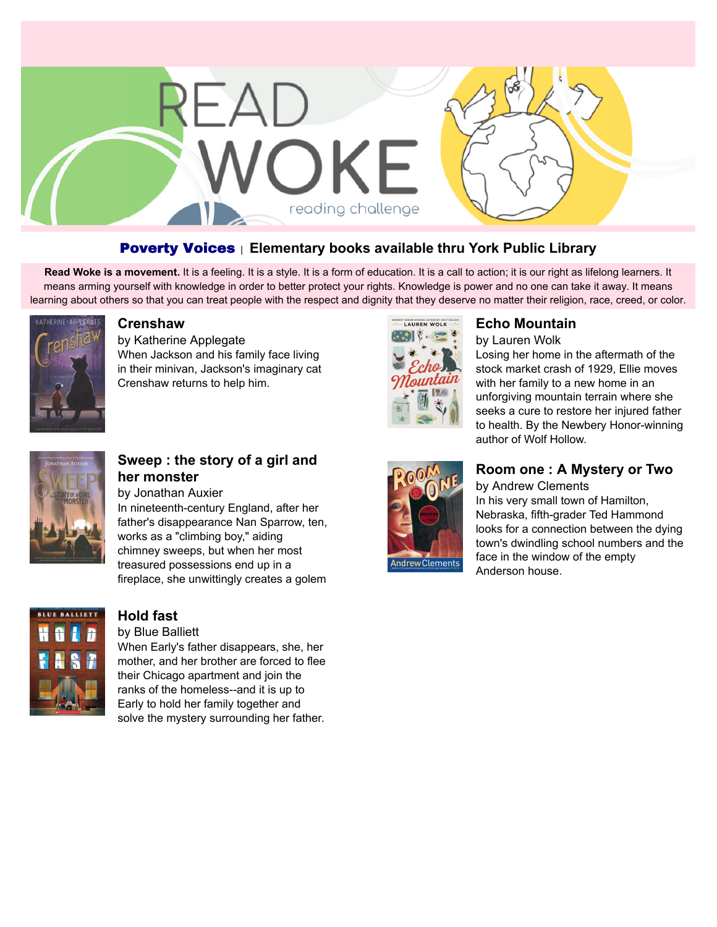

#### Poverty Voices <sup>|</sup> **Elementary books available thru York Public Library**

Read Woke is a movement. It is a feeling. It is a style. It is a form of education. It is a call to action; it is our right as lifelong learners. It means arming yourself with knowledge in order to better protect your rights. Knowledge is power and no one can take it away. It means learning about others so that you can treat people with the respect and dignity that they deserve no matter their religion, race, creed, or color.



#### **[Crenshaw](https://libraryaware.com/296WFB)**

by Katherine Applegate When Jackson and his family face living in their minivan, Jackson's imaginary cat Crenshaw returns to help him.



# **[Echo Mountain](https://libraryaware.com/296WFE)**

by Lauren Wolk

Losing her home in the aftermath of the stock market crash of 1929, Ellie moves with her family to a new home in an unforgiving mountain terrain where she seeks a cure to restore her injured father to health. By the Newbery Honor-winning author of Wolf Hollow.



### **[Sweep : the story of a girl and](https://libraryaware.com/296WFC) [her monster](https://libraryaware.com/296WFC)**

by Jonathan Auxier In nineteenth-century England, after her father's disappearance Nan Sparrow, ten, works as a "climbing boy," aiding chimney sweeps, but when her most treasured possessions end up in a fireplace, she unwittingly creates a golem



## **[Hold fast](https://libraryaware.com/296WFD)**

by Blue Balliett

When Early's father disappears, she, her mother, and her brother are forced to flee their Chicago apartment and join the ranks of the homeless--and it is up to Early to hold her family together and solve the mystery surrounding her father.



#### **[Room one : A Mystery or Two](https://libraryaware.com/296WFF)** by Andrew Clements

In his very small town of Hamilton, Nebraska, fifth-grader Ted Hammond looks for a connection between the dying town's dwindling school numbers and the face in the window of the empty Anderson house.